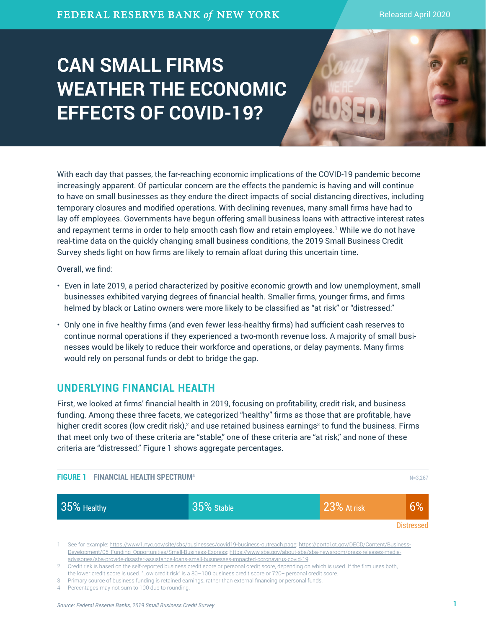# **CAN SMALL FIRMS WEATHER THE ECONOMIC EFFECTS OF COVID-19?**

With each day that passes, the far-reaching economic implications of the COVID-19 pandemic become increasingly apparent. Of particular concern are the effects the pandemic is having and will continue to have on small businesses as they endure the direct impacts of social distancing directives, including temporary closures and modified operations. With declining revenues, many small firms have had to lay off employees. Governments have begun offering small business loans with attractive interest rates and repayment terms in order to help smooth cash flow and retain employees.' While we do not have real-time data on the quickly changing small business conditions, the 2019 Small Business Credit Survey sheds light on how firms are likely to remain afloat during this uncertain time.

Overall, we find:

- Even in late 2019, a period characterized by positive economic growth and low unemployment, small businesses exhibited varying degrees of financial health. Smaller firms, younger firms, and firms helmed by black or Latino owners were more likely to be classified as "at risk" or "distressed."
- Only one in five healthy firms (and even fewer less-healthy firms) had sufficient cash reserves to continue normal operations if they experienced a two-month revenue loss. A majority of small businesses would be likely to reduce their workforce and operations, or delay payments. Many firms would rely on personal funds or debt to bridge the gap.

# **UNDERLYING FINANCIAL HEALTH**

First, we looked at firms' financial health in 2019, focusing on profitability, credit risk, and business funding. Among these three facets, we categorized "healthy" firms as those that are profitable, have higher credit scores (low credit risk), $^2$  and use retained business earnings $^3$  to fund the business. Firms that meet only two of these criteria are "stable," one of these criteria are "at risk," and none of these criteria are "distressed." Figure 1 shows aggregate percentages.



3 Primary source of business funding is retained earnings, rather than external financing or personal funds.

4 Percentages may not sum to 100 due to rounding.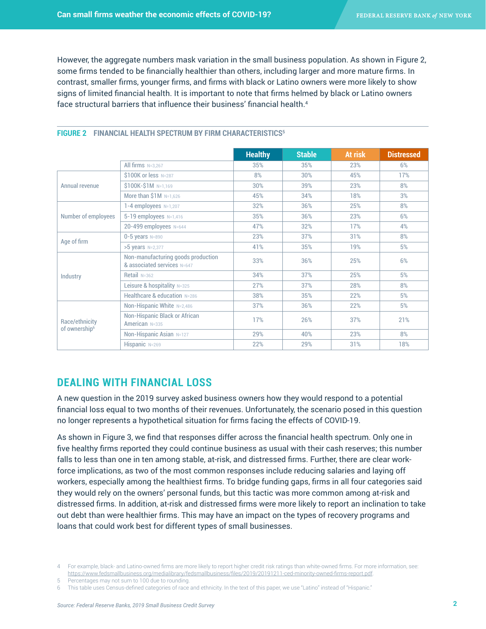However, the aggregate numbers mask variation in the small business population. As shown in Figure 2, some firms tended to be financially healthier than others, including larger and more mature firms. In contrast, smaller firms, younger firms, and firms with black or Latino owners were more likely to show signs of limited financial health. It is important to note that firms helmed by black or Latino owners face structural barriers that influence their business' financial health.<sup>4</sup>

|                                             |                                                                   | <b>Healthy</b> | <b>Stable</b> | At risk | <b>Distressed</b> |
|---------------------------------------------|-------------------------------------------------------------------|----------------|---------------|---------|-------------------|
|                                             | All firms $N=3,267$                                               | 35%            | 35%           | 23%     | 6%                |
| Annual revenue                              | \$100K or less N=287                                              | 8%             | 30%           | 45%     | 17%               |
|                                             | \$100K-\$1M N=1,169                                               | 30%            | 39%           | 23%     | 8%                |
|                                             | More than $$1M$ N=1,626                                           | 45%            | 34%           | 18%     | 3%                |
| Number of employees                         | $1-4$ employees $N=1,207$                                         | 32%            | 36%           | 25%     | 8%                |
|                                             | 5-19 employees N=1,416                                            | 35%            | 36%           | 23%     | 6%                |
|                                             | 20-499 employees N=644                                            | 47%            | 32%           | 17%     | 4%                |
| Age of firm                                 | $0 - 5$ years $N = 890$                                           | 23%            | 37%           | 31%     | 8%                |
|                                             | >5 years N=2,377                                                  | 41%            | 35%           | 19%     | 5%                |
| Industry                                    | Non-manufacturing goods production<br>& associated services N=647 | 33%            | 36%           | 25%     | 6%                |
|                                             | Retail $N=362$                                                    | 34%            | 37%           | 25%     | 5%                |
|                                             | Leisure & hospitality N=325                                       | 27%            | 37%           | 28%     | 8%                |
|                                             | Healthcare & education N=286                                      | 38%            | 35%           | 22%     | 5%                |
| Race/ethnicity<br>of ownership <sup>6</sup> | Non-Hispanic White N=2,486                                        | 37%            | 36%           | 22%     | 5%                |
|                                             | Non-Hispanic Black or African<br>American N=335                   | 17%            | 26%           | 37%     | 21%               |
|                                             | Non-Hispanic Asian N=127                                          | 29%            | 40%           | 23%     | 8%                |
|                                             | Hispanic N=269                                                    | 22%            | 29%           | 31%     | 18%               |

#### **FIGURE 2 FINANCIAL HEALTH SPECTRUM BY FIRM CHARACTERISTICS5**

## **DEALING WITH FINANCIAL LOSS**

A new question in the 2019 survey asked business owners how they would respond to a potential financial loss equal to two months of their revenues. Unfortunately, the scenario posed in this question no longer represents a hypothetical situation for firms facing the effects of COVID-19.

As shown in Figure 3, we find that responses differ across the financial health spectrum. Only one in five healthy firms reported they could continue business as usual with their cash reserves; this number falls to less than one in ten among stable, at-risk, and distressed firms. Further, there are clear workforce implications, as two of the most common responses include reducing salaries and laying off workers, especially among the healthiest firms. To bridge funding gaps, firms in all four categories said they would rely on the owners' personal funds, but this tactic was more common among at-risk and distressed firms. In addition, at-risk and distressed firms were more likely to report an inclination to take out debt than were healthier firms. This may have an impact on the types of recovery programs and loans that could work best for different types of small businesses.

<sup>4</sup> For example, black- and Latino-owned firms are more likely to report higher credit risk ratings than white-owned firms. For more information, see: <https://www.fedsmallbusiness.org/medialibrary/fedsmallbusiness/files/2019/20191211-ced-minority-owned-firms-report.pdf>.

<sup>5</sup> Percentages may not sum to 100 due to rounding.

<sup>6</sup> This table uses Census-defined categories of race and ethnicity. In the text of this paper, we use "Latino" instead of "Hispanic."